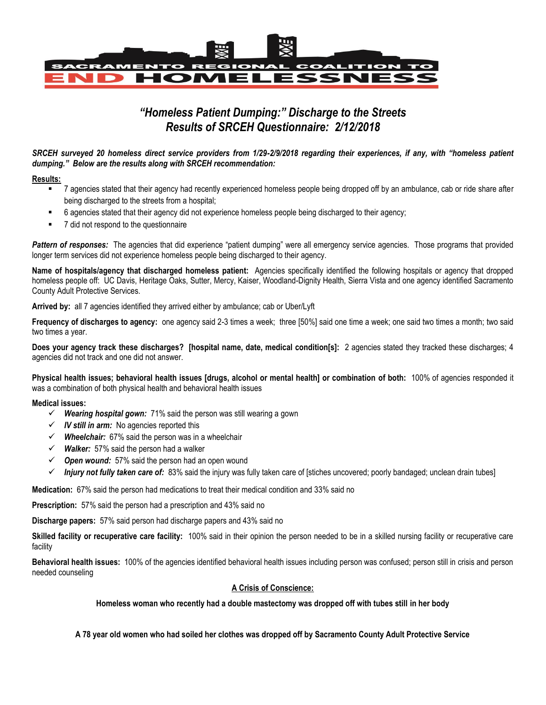

# *"Homeless Patient Dumping:" Discharge to the Streets Results of SRCEH Questionnaire: 2/12/2018*

## *SRCEH surveyed 20 homeless direct service providers from 1/29-2/9/2018 regarding their experiences, if any, with "homeless patient dumping." Below are the results along with SRCEH recommendation:*

**Results:** 

- 7 agencies stated that their agency had recently experienced homeless people being dropped off by an ambulance, cab or ride share after being discharged to the streets from a hospital;
- 6 agencies stated that their agency did not experience homeless people being discharged to their agency;
- 7 did not respond to the questionnaire

Pattern of responses: The agencies that did experience "patient dumping" were all emergency service agencies. Those programs that provided longer term services did not experience homeless people being discharged to their agency.

**Name of hospitals/agency that discharged homeless patient:** Agencies specifically identified the following hospitals or agency that dropped homeless people off: UC Davis, Heritage Oaks, Sutter, Mercy, Kaiser, Woodland-Dignity Health, Sierra Vista and one agency identified Sacramento County Adult Protective Services.

**Arrived by:** all 7 agencies identified they arrived either by ambulance; cab or Uber/Lyft

**Frequency of discharges to agency:** one agency said 2-3 times a week; three [50%] said one time a week; one said two times a month; two said two times a year.

**Does your agency track these discharges? [hospital name, date, medical condition[s]:** 2 agencies stated they tracked these discharges; 4 agencies did not track and one did not answer.

**Physical health issues; behavioral health issues [drugs, alcohol or mental health] or combination of both:** 100% of agencies responded it was a combination of both physical health and behavioral health issues

### **Medical issues:**

- *Wearing hospital gown:* 71% said the person was still wearing a gown
- $\checkmark$  **IV still in arm:** No agencies reported this
- *Wheelchair:* 67% said the person was in a wheelchair
- *Walker:* 57% said the person had a walker
- $\checkmark$  Open wound: 57% said the person had an open wound
- *Injury not fully taken care of:* 83% said the injury was fully taken care of [stiches uncovered; poorly bandaged; unclean drain tubes]

**Medication:** 67% said the person had medications to treat their medical condition and 33% said no

**Prescription:** 57% said the person had a prescription and 43% said no

**Discharge papers:** 57% said person had discharge papers and 43% said no

**Skilled facility or recuperative care facility:** 100% said in their opinion the person needed to be in a skilled nursing facility or recuperative care facility

**Behavioral health issues:** 100% of the agencies identified behavioral health issues including person was confused; person still in crisis and person needed counseling

### **A Crisis of Conscience:**

**Homeless woman who recently had a double mastectomy was dropped off with tubes still in her body**

**A 78 year old women who had soiled her clothes was dropped off by Sacramento County Adult Protective Service**